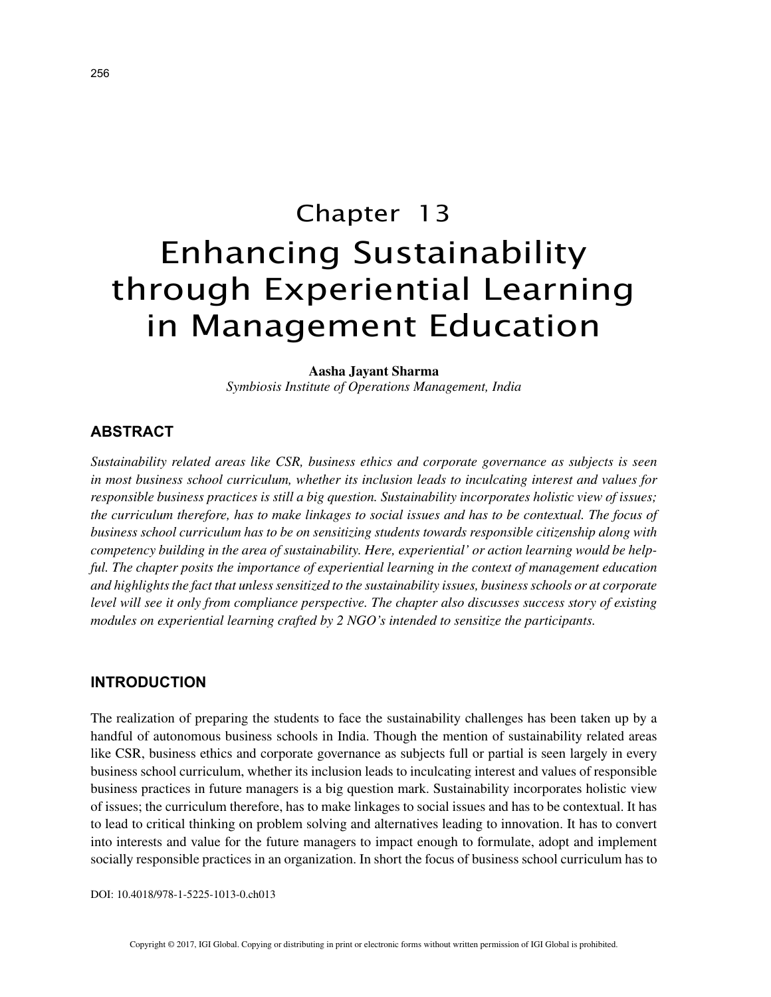# Chapter 13 Enhancing Sustainability through Experiential Learning in Management Education

**Aasha Jayant Sharma**

*Symbiosis Institute of Operations Management, India*

#### **ABSTRACT**

*Sustainability related areas like CSR, business ethics and corporate governance as subjects is seen in most business school curriculum, whether its inclusion leads to inculcating interest and values for responsible business practices is still a big question. Sustainability incorporates holistic view of issues; the curriculum therefore, has to make linkages to social issues and has to be contextual. The focus of business school curriculum has to be on sensitizing students towards responsible citizenship along with competency building in the area of sustainability. Here, experiential' or action learning would be helpful. The chapter posits the importance of experiential learning in the context of management education and highlights the fact that unless sensitized to the sustainability issues, business schools or at corporate level will see it only from compliance perspective. The chapter also discusses success story of existing modules on experiential learning crafted by 2 NGO's intended to sensitize the participants.*

#### **INTRODUCTION**

The realization of preparing the students to face the sustainability challenges has been taken up by a handful of autonomous business schools in India. Though the mention of sustainability related areas like CSR, business ethics and corporate governance as subjects full or partial is seen largely in every business school curriculum, whether its inclusion leads to inculcating interest and values of responsible business practices in future managers is a big question mark. Sustainability incorporates holistic view of issues; the curriculum therefore, has to make linkages to social issues and has to be contextual. It has to lead to critical thinking on problem solving and alternatives leading to innovation. It has to convert into interests and value for the future managers to impact enough to formulate, adopt and implement socially responsible practices in an organization. In short the focus of business school curriculum has to

DOI: 10.4018/978-1-5225-1013-0.ch013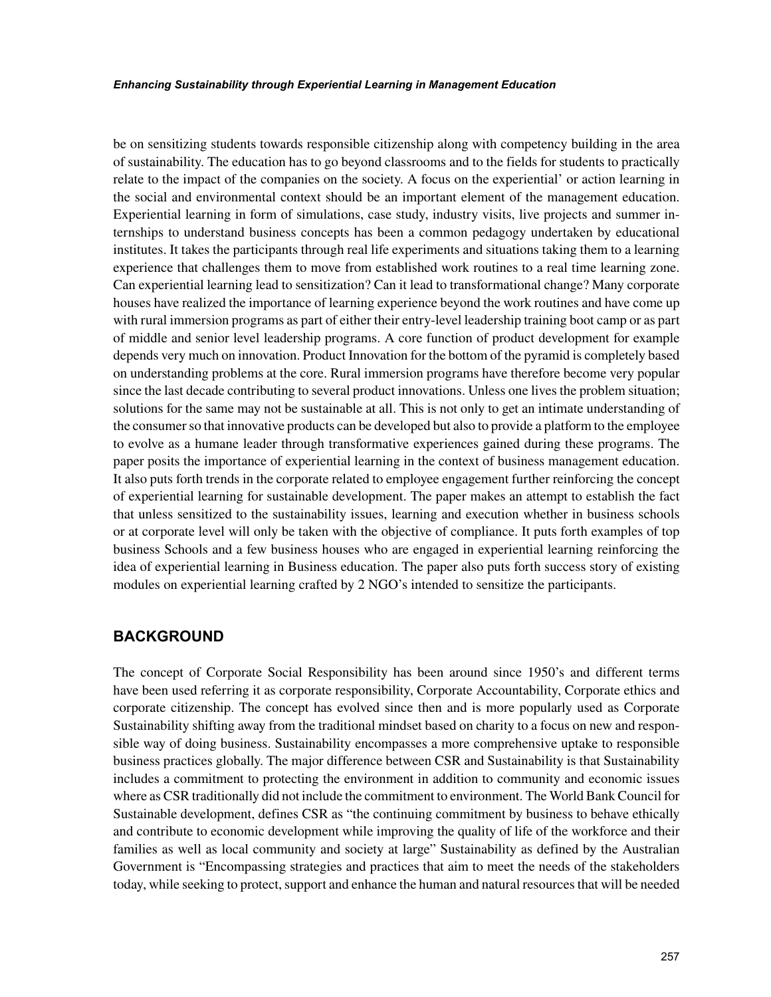be on sensitizing students towards responsible citizenship along with competency building in the area of sustainability. The education has to go beyond classrooms and to the fields for students to practically relate to the impact of the companies on the society. A focus on the experiential' or action learning in the social and environmental context should be an important element of the management education. Experiential learning in form of simulations, case study, industry visits, live projects and summer internships to understand business concepts has been a common pedagogy undertaken by educational institutes. It takes the participants through real life experiments and situations taking them to a learning experience that challenges them to move from established work routines to a real time learning zone. Can experiential learning lead to sensitization? Can it lead to transformational change? Many corporate houses have realized the importance of learning experience beyond the work routines and have come up with rural immersion programs as part of either their entry-level leadership training boot camp or as part of middle and senior level leadership programs. A core function of product development for example depends very much on innovation. Product Innovation for the bottom of the pyramid is completely based on understanding problems at the core. Rural immersion programs have therefore become very popular since the last decade contributing to several product innovations. Unless one lives the problem situation; solutions for the same may not be sustainable at all. This is not only to get an intimate understanding of the consumer so that innovative products can be developed but also to provide a platform to the employee to evolve as a humane leader through transformative experiences gained during these programs. The paper posits the importance of experiential learning in the context of business management education. It also puts forth trends in the corporate related to employee engagement further reinforcing the concept of experiential learning for sustainable development. The paper makes an attempt to establish the fact that unless sensitized to the sustainability issues, learning and execution whether in business schools or at corporate level will only be taken with the objective of compliance. It puts forth examples of top business Schools and a few business houses who are engaged in experiential learning reinforcing the idea of experiential learning in Business education. The paper also puts forth success story of existing modules on experiential learning crafted by 2 NGO's intended to sensitize the participants.

## **BACKGROUND**

The concept of Corporate Social Responsibility has been around since 1950's and different terms have been used referring it as corporate responsibility, Corporate Accountability, Corporate ethics and corporate citizenship. The concept has evolved since then and is more popularly used as Corporate Sustainability shifting away from the traditional mindset based on charity to a focus on new and responsible way of doing business. Sustainability encompasses a more comprehensive uptake to responsible business practices globally. The major difference between CSR and Sustainability is that Sustainability includes a commitment to protecting the environment in addition to community and economic issues where as CSR traditionally did not include the commitment to environment. The World Bank Council for Sustainable development, defines CSR as "the continuing commitment by business to behave ethically and contribute to economic development while improving the quality of life of the workforce and their families as well as local community and society at large" Sustainability as defined by the Australian Government is "Encompassing strategies and practices that aim to meet the needs of the stakeholders today, while seeking to protect, support and enhance the human and natural resources that will be needed